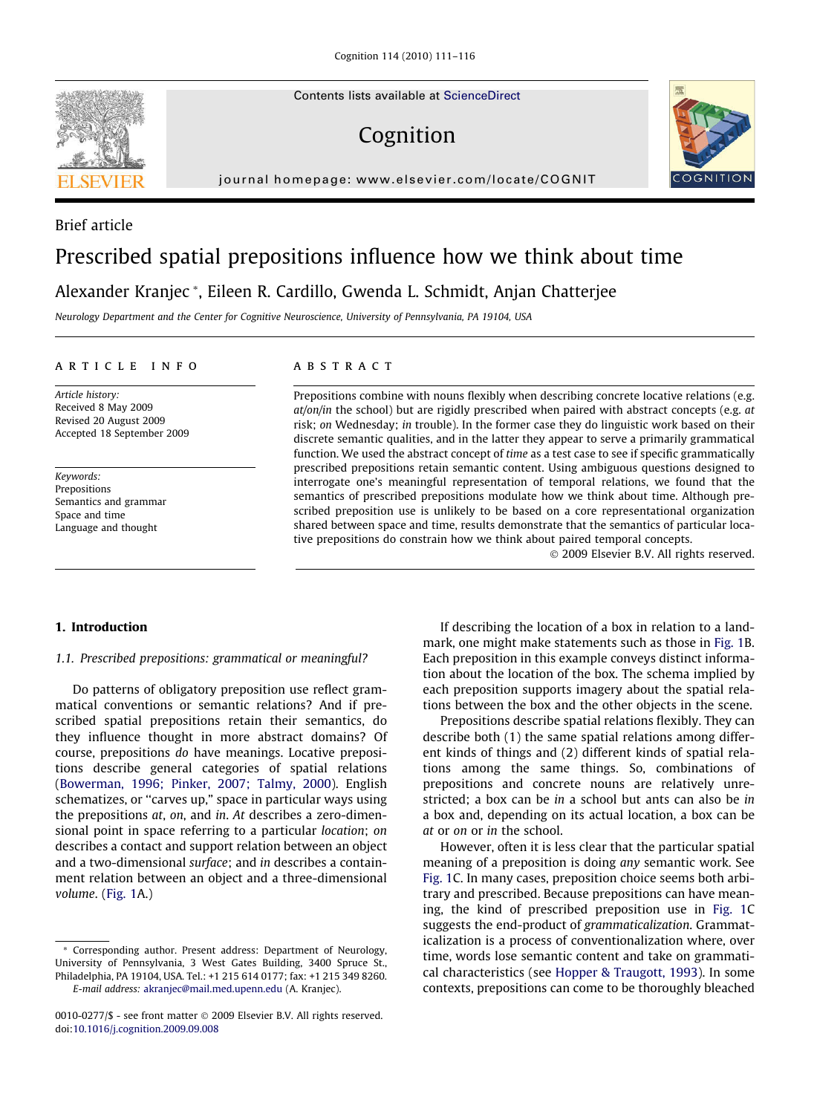Contents lists available at [ScienceDirect](http://www.sciencedirect.com/science/journal/00100277)

## Cognition



journal homepage: [www.elsevier.com/locate/COGNIT](http://www.elsevier.com/locate/COGNIT)

# Prescribed spatial prepositions influence how we think about time

Alexander Kranjec \*, Eileen R. Cardillo, Gwenda L. Schmidt, Anjan Chatterjee

Neurology Department and the Center for Cognitive Neuroscience, University of Pennsylvania, PA 19104, USA

## article info

Article history: Received 8 May 2009 Revised 20 August 2009 Accepted 18 September 2009

Keywords: Prepositions Semantics and grammar Space and time Language and thought

## ABSTRACT

Prepositions combine with nouns flexibly when describing concrete locative relations (e.g.  $at/$ on/in the school) but are rigidly prescribed when paired with abstract concepts (e.g.  $at$ risk; on Wednesday; in trouble). In the former case they do linguistic work based on their discrete semantic qualities, and in the latter they appear to serve a primarily grammatical function. We used the abstract concept of time as a test case to see if specific grammatically prescribed prepositions retain semantic content. Using ambiguous questions designed to interrogate one's meaningful representation of temporal relations, we found that the semantics of prescribed prepositions modulate how we think about time. Although prescribed preposition use is unlikely to be based on a core representational organization shared between space and time, results demonstrate that the semantics of particular locative prepositions do constrain how we think about paired temporal concepts.

© 2009 Elsevier B.V. All rights reserved.

## 1. Introduction

## 1.1. Prescribed prepositions: grammatical or meaningful?

Do patterns of obligatory preposition use reflect grammatical conventions or semantic relations? And if prescribed spatial prepositions retain their semantics, do they influence thought in more abstract domains? Of course, prepositions do have meanings. Locative prepositions describe general categories of spatial relations ([Bowerman, 1996; Pinker, 2007; Talmy, 2000\)](#page-5-0). English schematizes, or ''carves up," space in particular ways using the prepositions at, on, and in. At describes a zero-dimensional point in space referring to a particular location; on describes a contact and support relation between an object and a two-dimensional surface; and in describes a containment relation between an object and a three-dimensional volume. ([Fig. 1](#page-1-0)A.)

If describing the location of a box in relation to a landmark, one might make statements such as those in [Fig. 1](#page-1-0)B. Each preposition in this example conveys distinct information about the location of the box. The schema implied by each preposition supports imagery about the spatial relations between the box and the other objects in the scene.

Prepositions describe spatial relations flexibly. They can describe both (1) the same spatial relations among different kinds of things and (2) different kinds of spatial relations among the same things. So, combinations of prepositions and concrete nouns are relatively unrestricted; a box can be in a school but ants can also be in a box and, depending on its actual location, a box can be at or on or in the school.

However, often it is less clear that the particular spatial meaning of a preposition is doing any semantic work. See [Fig. 1C](#page-1-0). In many cases, preposition choice seems both arbitrary and prescribed. Because prepositions can have meaning, the kind of prescribed preposition use in [Fig. 1](#page-1-0)C suggests the end-product of grammaticalization. Grammaticalization is a process of conventionalization where, over time, words lose semantic content and take on grammatical characteristics (see [Hopper & Traugott, 1993](#page-5-0)). In some contexts, prepositions can come to be thoroughly bleached



Brief article

<sup>\*</sup> Corresponding author. Present address: Department of Neurology, University of Pennsylvania, 3 West Gates Building, 3400 Spruce St., Philadelphia, PA 19104, USA. Tel.: +1 215 614 0177; fax: +1 215 349 8260. E-mail address: [akranjec@mail.med.upenn.edu](mailto:akranjec@mail.med.upenn.edu) (A. Kranjec).

<sup>0010-0277/\$ -</sup> see front matter © 2009 Elsevier B.V. All rights reserved. doi:[10.1016/j.cognition.2009.09.008](http://dx.doi.org/10.1016/j.cognition.2009.09.008)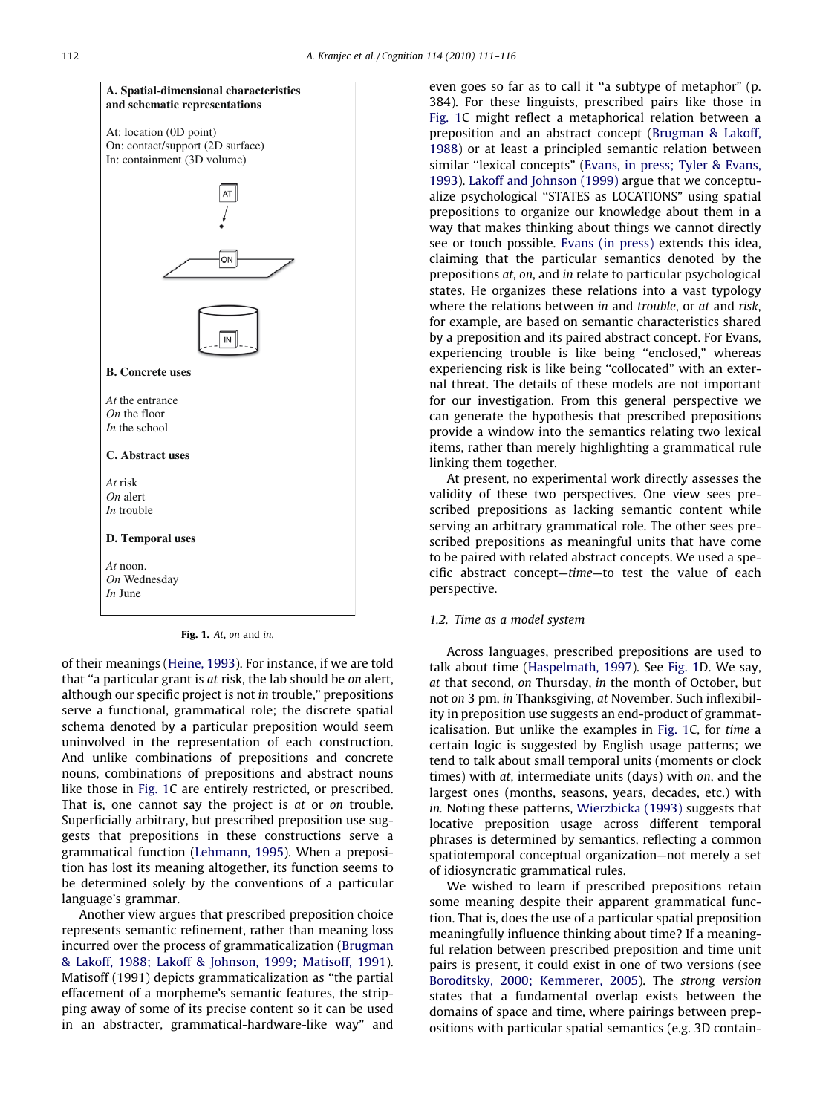<span id="page-1-0"></span>

Fig. 1. At, on and in.

of their meanings ([Heine, 1993\)](#page-5-0). For instance, if we are told that ''a particular grant is at risk, the lab should be on alert, although our specific project is not in trouble," prepositions serve a functional, grammatical role; the discrete spatial schema denoted by a particular preposition would seem uninvolved in the representation of each construction. And unlike combinations of prepositions and concrete nouns, combinations of prepositions and abstract nouns like those in Fig. 1C are entirely restricted, or prescribed. That is, one cannot say the project is at or on trouble. Superficially arbitrary, but prescribed preposition use suggests that prepositions in these constructions serve a grammatical function ([Lehmann, 1995](#page-5-0)). When a preposition has lost its meaning altogether, its function seems to be determined solely by the conventions of a particular language's grammar.

Another view argues that prescribed preposition choice represents semantic refinement, rather than meaning loss incurred over the process of grammaticalization ([Brugman](#page-5-0) [& Lakoff, 1988; Lakoff & Johnson, 1999; Matisoff, 1991](#page-5-0)). Matisoff (1991) depicts grammaticalization as ''the partial effacement of a morpheme's semantic features, the stripping away of some of its precise content so it can be used in an abstracter, grammatical-hardware-like way" and even goes so far as to call it ''a subtype of metaphor" (p. 384). For these linguists, prescribed pairs like those in Fig. 1C might reflect a metaphorical relation between a preposition and an abstract concept ([Brugman & Lakoff,](#page-5-0) [1988](#page-5-0)) or at least a principled semantic relation between similar ''lexical concepts" ([Evans, in press; Tyler & Evans,](#page-5-0) [1993](#page-5-0)). [Lakoff and Johnson \(1999\)](#page-5-0) argue that we conceptualize psychological ''STATES as LOCATIONS" using spatial prepositions to organize our knowledge about them in a way that makes thinking about things we cannot directly see or touch possible. [Evans \(in press\)](#page-5-0) extends this idea, claiming that the particular semantics denoted by the prepositions at, on, and in relate to particular psychological states. He organizes these relations into a vast typology where the relations between in and trouble, or at and risk, for example, are based on semantic characteristics shared by a preposition and its paired abstract concept. For Evans, experiencing trouble is like being ''enclosed," whereas experiencing risk is like being ''collocated" with an external threat. The details of these models are not important for our investigation. From this general perspective we can generate the hypothesis that prescribed prepositions provide a window into the semantics relating two lexical items, rather than merely highlighting a grammatical rule linking them together.

At present, no experimental work directly assesses the validity of these two perspectives. One view sees prescribed prepositions as lacking semantic content while serving an arbitrary grammatical role. The other sees prescribed prepositions as meaningful units that have come to be paired with related abstract concepts. We used a specific abstract concept—time—to test the value of each perspective.

## 1.2. Time as a model system

Across languages, prescribed prepositions are used to talk about time ([Haspelmath, 1997](#page-5-0)). See Fig. 1D. We say, at that second, on Thursday, in the month of October, but not on 3 pm, in Thanksgiving, at November. Such inflexibility in preposition use suggests an end-product of grammaticalisation. But unlike the examples in Fig. 1C, for time a certain logic is suggested by English usage patterns; we tend to talk about small temporal units (moments or clock times) with at, intermediate units (days) with on, and the largest ones (months, seasons, years, decades, etc.) with in. Noting these patterns, [Wierzbicka \(1993\)](#page-5-0) suggests that locative preposition usage across different temporal phrases is determined by semantics, reflecting a common spatiotemporal conceptual organization—not merely a set of idiosyncratic grammatical rules.

We wished to learn if prescribed prepositions retain some meaning despite their apparent grammatical function. That is, does the use of a particular spatial preposition meaningfully influence thinking about time? If a meaningful relation between prescribed preposition and time unit pairs is present, it could exist in one of two versions (see [Boroditsky, 2000; Kemmerer, 2005](#page-5-0)). The strong version states that a fundamental overlap exists between the domains of space and time, where pairings between prepositions with particular spatial semantics (e.g. 3D contain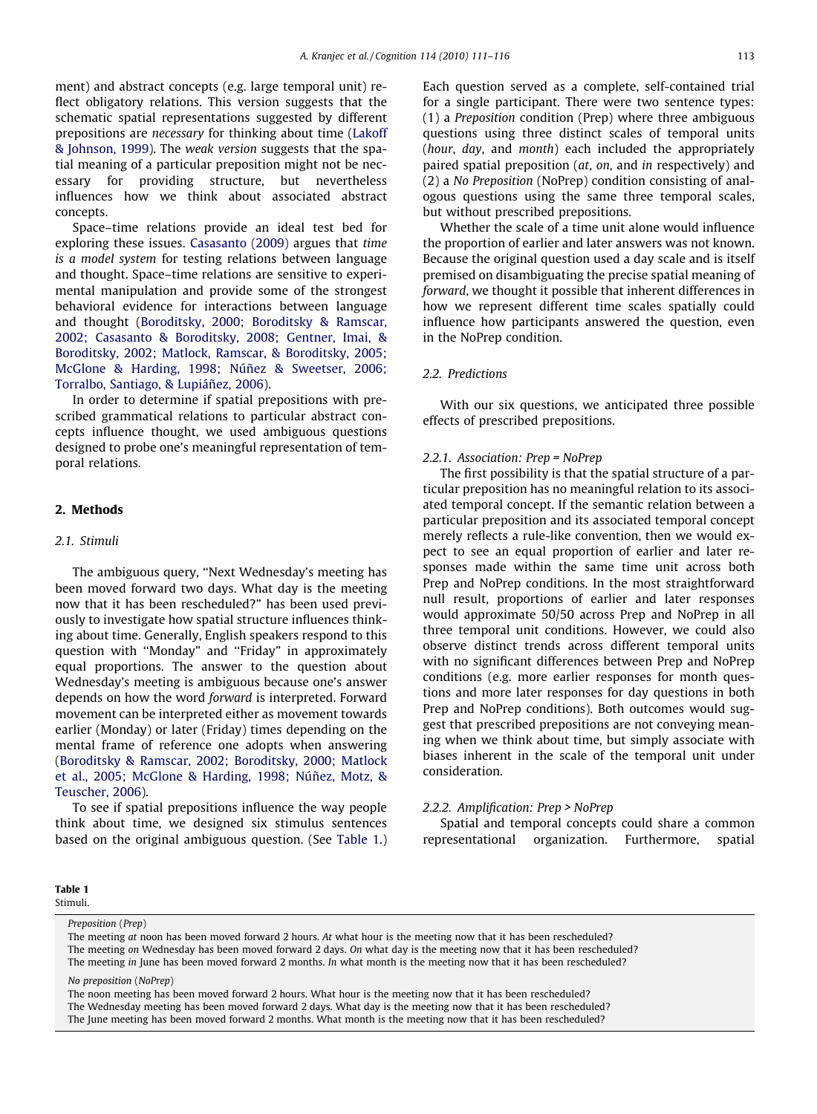ment) and abstract concepts (e.g. large temporal unit) reflect obligatory relations. This version suggests that the schematic spatial representations suggested by different prepositions are necessary for thinking about time [\(Lakoff](#page-5-0) [& Johnson, 1999](#page-5-0)). The weak version suggests that the spatial meaning of a particular preposition might not be necessary for providing structure, but nevertheless influences how we think about associated abstract concepts.

Space–time relations provide an ideal test bed for exploring these issues. [Casasanto \(2009\)](#page-5-0) argues that time is a model system for testing relations between language and thought. Space–time relations are sensitive to experimental manipulation and provide some of the strongest behavioral evidence for interactions between language and thought ([Boroditsky, 2000; Boroditsky & Ramscar,](#page-5-0) [2002; Casasanto & Boroditsky, 2008; Gentner, Imai, &](#page-5-0) [Boroditsky, 2002; Matlock, Ramscar, & Boroditsky, 2005;](#page-5-0) [McGlone & Harding, 1998; Núñez & Sweetser, 2006;](#page-5-0) [Torralbo, Santiago, & Lupiáñez, 2006\)](#page-5-0).

In order to determine if spatial prepositions with prescribed grammatical relations to particular abstract concepts influence thought, we used ambiguous questions designed to probe one's meaningful representation of temporal relations.

## 2. Methods

## 2.1. Stimuli

The ambiguous query, ''Next Wednesday's meeting has been moved forward two days. What day is the meeting now that it has been rescheduled?" has been used previously to investigate how spatial structure influences thinking about time. Generally, English speakers respond to this question with ''Monday" and ''Friday" in approximately equal proportions. The answer to the question about Wednesday's meeting is ambiguous because one's answer depends on how the word forward is interpreted. Forward movement can be interpreted either as movement towards earlier (Monday) or later (Friday) times depending on the mental frame of reference one adopts when answering ([Boroditsky & Ramscar, 2002; Boroditsky, 2000; Matlock](#page-5-0) [et al., 2005; McGlone & Harding, 1998; Núñez, Motz, &](#page-5-0) [Teuscher, 2006](#page-5-0)).

To see if spatial prepositions influence the way people think about time, we designed six stimulus sentences based on the original ambiguous question. (See Table 1.)

Table 1 Stimuli.

Preposition (Prep)

premised on disambiguating the precise spatial meaning of forward, we thought it possible that inherent differences in how we represent different time scales spatially could influence how participants answered the question, even in the NoPrep condition.

but without prescribed prepositions.

## 2.2. Predictions

With our six questions, we anticipated three possible effects of prescribed prepositions.

Each question served as a complete, self-contained trial for a single participant. There were two sentence types: (1) a Preposition condition (Prep) where three ambiguous questions using three distinct scales of temporal units (hour, day, and month) each included the appropriately paired spatial preposition (at, on, and in respectively) and (2) a No Preposition (NoPrep) condition consisting of analogous questions using the same three temporal scales,

Whether the scale of a time unit alone would influence the proportion of earlier and later answers was not known. Because the original question used a day scale and is itself

#### 2.2.1. Association: Prep = NoPrep

The first possibility is that the spatial structure of a particular preposition has no meaningful relation to its associated temporal concept. If the semantic relation between a particular preposition and its associated temporal concept merely reflects a rule-like convention, then we would expect to see an equal proportion of earlier and later responses made within the same time unit across both Prep and NoPrep conditions. In the most straightforward null result, proportions of earlier and later responses would approximate 50/50 across Prep and NoPrep in all three temporal unit conditions. However, we could also observe distinct trends across different temporal units with no significant differences between Prep and NoPrep conditions (e.g. more earlier responses for month questions and more later responses for day questions in both Prep and NoPrep conditions). Both outcomes would suggest that prescribed prepositions are not conveying meaning when we think about time, but simply associate with biases inherent in the scale of the temporal unit under consideration.

#### 2.2.2. Amplification: Prep > NoPrep

Spatial and temporal concepts could share a common representational organization. Furthermore, spatial

The meeting at noon has been moved forward 2 hours. At what hour is the meeting now that it has been rescheduled? The meeting on Wednesday has been moved forward 2 days. On what day is the meeting now that it has been rescheduled? The meeting in June has been moved forward 2 months. In what month is the meeting now that it has been rescheduled?

No preposition (NoPrep)

The noon meeting has been moved forward 2 hours. What hour is the meeting now that it has been rescheduled? The Wednesday meeting has been moved forward 2 days. What day is the meeting now that it has been rescheduled? The June meeting has been moved forward 2 months. What month is the meeting now that it has been rescheduled?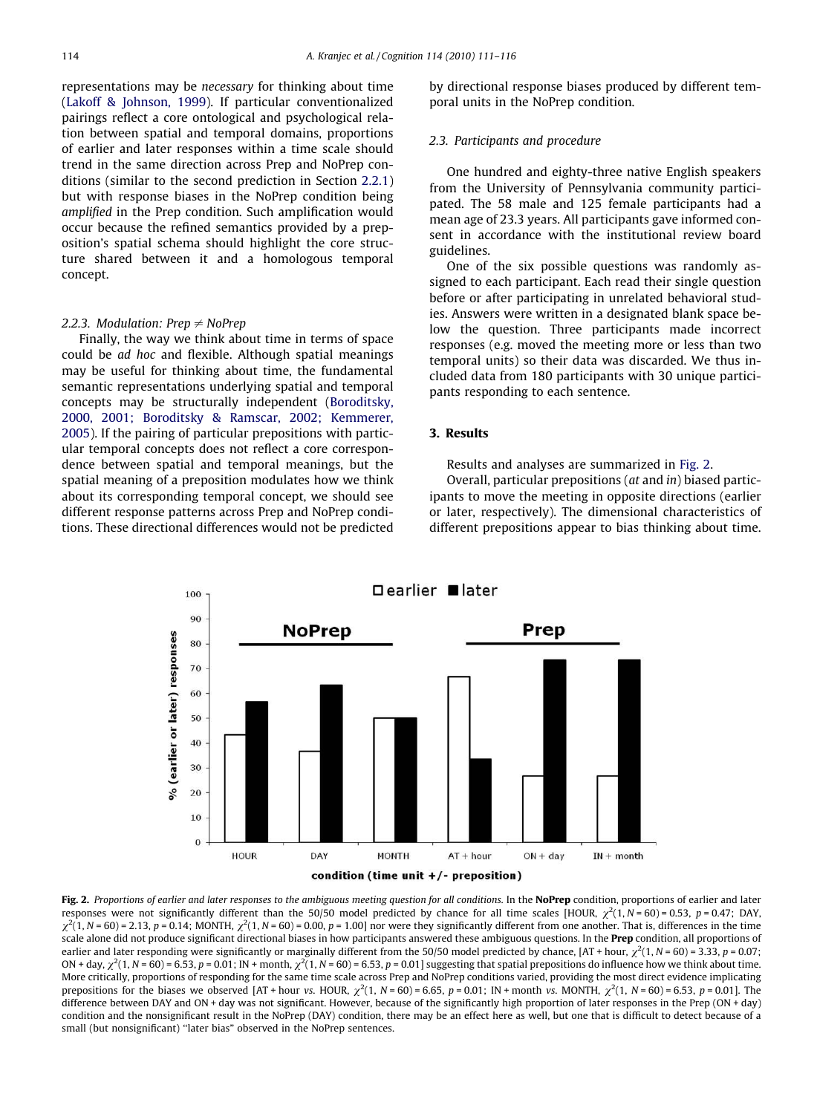representations may be necessary for thinking about time [\(Lakoff & Johnson, 1999](#page-5-0)). If particular conventionalized pairings reflect a core ontological and psychological relation between spatial and temporal domains, proportions of earlier and later responses within a time scale should trend in the same direction across Prep and NoPrep conditions (similar to the second prediction in Section 2.2.1) but with response biases in the NoPrep condition being amplified in the Prep condition. Such amplification would occur because the refined semantics provided by a preposition's spatial schema should highlight the core structure shared between it and a homologous temporal concept.

## 2.2.3. Modulation: Prep  $\neq$  NoPrep

Finally, the way we think about time in terms of space could be ad hoc and flexible. Although spatial meanings may be useful for thinking about time, the fundamental semantic representations underlying spatial and temporal concepts may be structurally independent ([Boroditsky,](#page-5-0) [2000, 2001; Boroditsky & Ramscar, 2002; Kemmerer,](#page-5-0) [2005](#page-5-0)). If the pairing of particular prepositions with particular temporal concepts does not reflect a core correspondence between spatial and temporal meanings, but the spatial meaning of a preposition modulates how we think about its corresponding temporal concept, we should see different response patterns across Prep and NoPrep conditions. These directional differences would not be predicted by directional response biases produced by different temporal units in the NoPrep condition.

## 2.3. Participants and procedure

One hundred and eighty-three native English speakers from the University of Pennsylvania community participated. The 58 male and 125 female participants had a mean age of 23.3 years. All participants gave informed consent in accordance with the institutional review board guidelines.

One of the six possible questions was randomly assigned to each participant. Each read their single question before or after participating in unrelated behavioral studies. Answers were written in a designated blank space below the question. Three participants made incorrect responses (e.g. moved the meeting more or less than two temporal units) so their data was discarded. We thus included data from 180 participants with 30 unique participants responding to each sentence.

## 3. Results

Results and analyses are summarized in Fig. 2.

Overall, particular prepositions (at and in) biased participants to move the meeting in opposite directions (earlier or later, respectively). The dimensional characteristics of different prepositions appear to bias thinking about time.



Fig. 2. Proportions of earlier and later responses to the ambiguous meeting question for all conditions. In the NoPrep condition, proportions of earlier and later responses were not significantly different than the 50/50 model predicted by chance for all time scales [HOUR,  $\chi^2(1, N = 60) = 0.53$ ,  $p = 0.47$ ; DAY.  $\chi^2(1, N = 60)$  = 2.13, p = 0.14; MONTH,  $\chi^2(1, N = 60)$  = 0.00, p = 1.00] nor were they significantly different from one another. That is, differences in the time scale alone did not produce significant directional biases in how participants answered these ambiguous questions. In the **Prep** condition, all proportions of earlier and later responding were significantly or marginally different from the 50/50 model predicted by chance,  $[AT + hour, \chi^2(1, N = 60) = 3.33, p = 0.07;$ ON + day,  $\chi^2(1, N = 60) = 6.53$ , p = 0.01; IN + month,  $\chi^2(1, N = 60) = 6.53$ , p = 0.01] suggesting that spatial prepositions do influence how we think about time. More critically, proportions of responding for the same time scale across Prep and NoPrep conditions varied, providing the most direct evidence implicating prepositions for the biases we observed [AT + hour vs. HOUR,  $\chi^2(1, N = 60) = 6.65$ ,  $p = 0.01$ ; IN + month vs. MONTH,  $\chi^2(1, N = 60) = 6.53$ ,  $p = 0.01$ ]. The difference between DAY and ON + day was not significant. However, because of the significantly high proportion of later responses in the Prep (ON + day) condition and the nonsignificant result in the NoPrep (DAY) condition, there may be an effect here as well, but one that is difficult to detect because of a small (but nonsignificant) ''later bias" observed in the NoPrep sentences.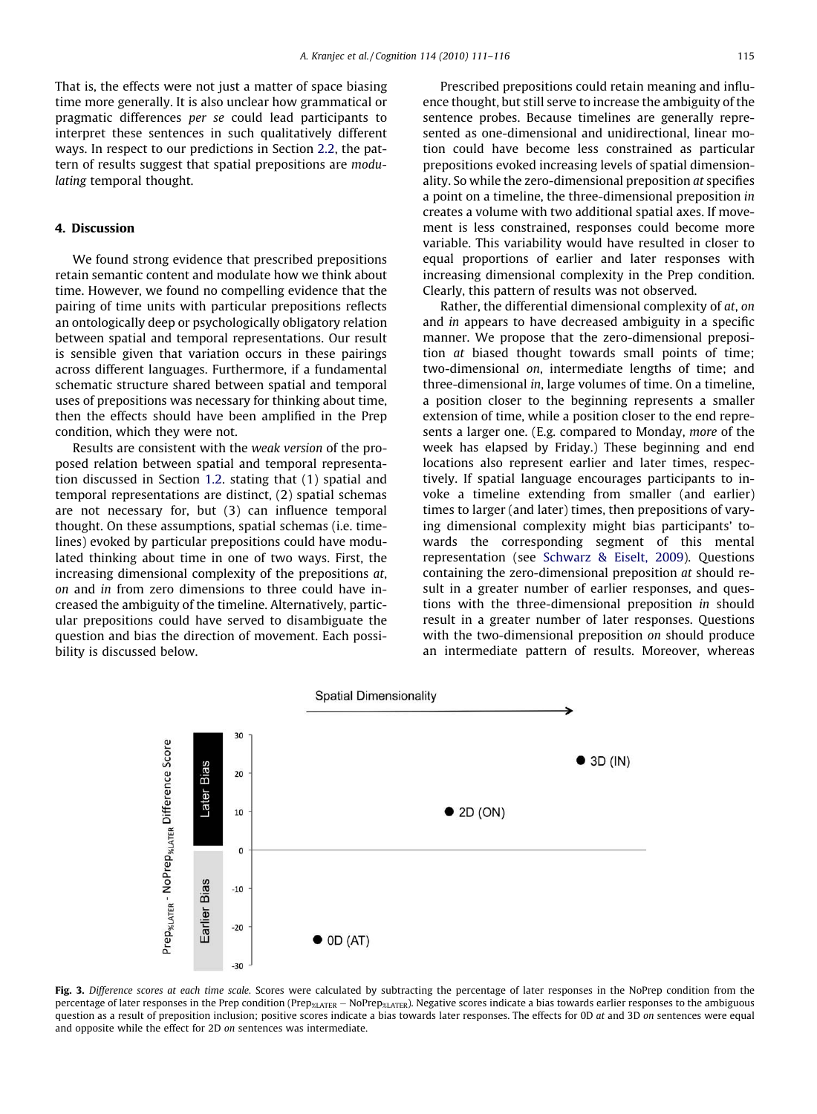<span id="page-4-0"></span>That is, the effects were not just a matter of space biasing time more generally. It is also unclear how grammatical or pragmatic differences per se could lead participants to interpret these sentences in such qualitatively different ways. In respect to our predictions in Section 2.2, the pattern of results suggest that spatial prepositions are modulating temporal thought.

## 4. Discussion

We found strong evidence that prescribed prepositions retain semantic content and modulate how we think about time. However, we found no compelling evidence that the pairing of time units with particular prepositions reflects an ontologically deep or psychologically obligatory relation between spatial and temporal representations. Our result is sensible given that variation occurs in these pairings across different languages. Furthermore, if a fundamental schematic structure shared between spatial and temporal uses of prepositions was necessary for thinking about time, then the effects should have been amplified in the Prep condition, which they were not.

Results are consistent with the weak version of the proposed relation between spatial and temporal representation discussed in Section 1.2. stating that (1) spatial and temporal representations are distinct, (2) spatial schemas are not necessary for, but (3) can influence temporal thought. On these assumptions, spatial schemas (i.e. timelines) evoked by particular prepositions could have modulated thinking about time in one of two ways. First, the increasing dimensional complexity of the prepositions at, on and in from zero dimensions to three could have increased the ambiguity of the timeline. Alternatively, particular prepositions could have served to disambiguate the question and bias the direction of movement. Each possibility is discussed below.

Prescribed prepositions could retain meaning and influence thought, but still serve to increase the ambiguity of the sentence probes. Because timelines are generally represented as one-dimensional and unidirectional, linear motion could have become less constrained as particular prepositions evoked increasing levels of spatial dimensionality. So while the zero-dimensional preposition at specifies a point on a timeline, the three-dimensional preposition in creates a volume with two additional spatial axes. If movement is less constrained, responses could become more variable. This variability would have resulted in closer to equal proportions of earlier and later responses with increasing dimensional complexity in the Prep condition. Clearly, this pattern of results was not observed.

Rather, the differential dimensional complexity of at, on and in appears to have decreased ambiguity in a specific manner. We propose that the zero-dimensional preposition at biased thought towards small points of time; two-dimensional on, intermediate lengths of time; and three-dimensional in, large volumes of time. On a timeline, a position closer to the beginning represents a smaller extension of time, while a position closer to the end represents a larger one. (E.g. compared to Monday, more of the week has elapsed by Friday.) These beginning and end locations also represent earlier and later times, respectively. If spatial language encourages participants to invoke a timeline extending from smaller (and earlier) times to larger (and later) times, then prepositions of varying dimensional complexity might bias participants' towards the corresponding segment of this mental representation (see [Schwarz & Eiselt, 2009\)](#page-5-0). Questions containing the zero-dimensional preposition at should result in a greater number of earlier responses, and questions with the three-dimensional preposition in should result in a greater number of later responses. Questions with the two-dimensional preposition on should produce an intermediate pattern of results. Moreover, whereas



Fig. 3. Difference scores at each time scale. Scores were calculated by subtracting the percentage of later responses in the NoPrep condition from the percentage of later responses in the Prep condition (Prep<sub>%LATER</sub> – NoPrep<sub>%LATER</sub>). Negative scores indicate a bias towards earlier responses to the ambiguous question as a result of preposition inclusion; positive scores indicate a bias towards later responses. The effects for 0D at and 3D on sentences were equal and opposite while the effect for 2D on sentences was intermediate.